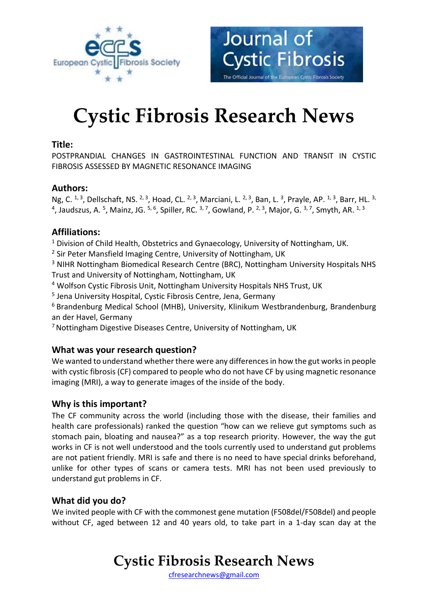



# **Cystic Fibrosis Research News**

### **Title:**

POSTPRANDIAL CHANGES IN GASTROINTESTINAL FUNCTION AND TRANSIT IN CYSTIC FIBROSIS ASSESSED BY MAGNETIC RESONANCE IMAGING

### **Authors:**

Ng, C. <sup>1, 3</sup>, Dellschaft, NS. <sup>2, 3</sup>, Hoad, CL. <sup>2, 3</sup>, Marciani, L. <sup>2, 3</sup>, Ban, L. <sup>3</sup>, Prayle, AP. <sup>1, 3</sup>, Barr, HL. <sup>3,</sup> <sup>4</sup>, Jaudszus, A. <sup>5</sup>, Mainz, JG. <sup>5, 6</sup>, Spiller, RC. <sup>3, 7</sup>, Gowland, P. <sup>2, 3</sup>, Major, G. <sup>3, 7</sup>, Smyth, AR. <sup>1, 3</sup>

## **Affiliations:**

<sup>1</sup> Division of Child Health, Obstetrics and Gynaecology, University of Nottingham, UK.

<sup>2</sup> Sir Peter Mansfield Imaging Centre, University of Nottingham, UK

<sup>3</sup> NIHR Nottingham Biomedical Research Centre (BRC), Nottingham University Hospitals NHS Trust and University of Nottingham, Nottingham, UK

<sup>4</sup> Wolfson Cystic Fibrosis Unit, Nottingham University Hospitals NHS Trust, UK

<sup>5</sup> Jena University Hospital, Cystic Fibrosis Centre, Jena, Germany

<sup>6</sup> Brandenburg Medical School (MHB), University, Klinikum Westbrandenburg, Brandenburg an der Havel, Germany

<sup>7</sup>Nottingham Digestive Diseases Centre, University of Nottingham, UK

#### **What was your research question?**

We wanted to understand whether there were any differences in how the gut works in people with cystic fibrosis (CF) compared to people who do not have CF by using magnetic resonance imaging (MRI), a way to generate images of the inside of the body.

#### **Why is this important?**

The CF community across the world (including those with the disease, their families and health care professionals) ranked the question "how can we relieve gut symptoms such as stomach pain, bloating and nausea?" as a top research priority. However, the way the gut works in CF is not well understood and the tools currently used to understand gut problems are not patient friendly. MRI is safe and there is no need to have special drinks beforehand, unlike for other types of scans or camera tests. MRI has not been used previously to understand gut problems in CF.

## **What did you do?**

We invited people with CF with the commonest gene mutation (F508del/F508del) and people without CF, aged between 12 and 40 years old, to take part in a 1-day scan day at the

## **Cystic Fibrosis Research News**

[cfresearchnews@gmail.com](mailto:cfresearchnews@gmail.com)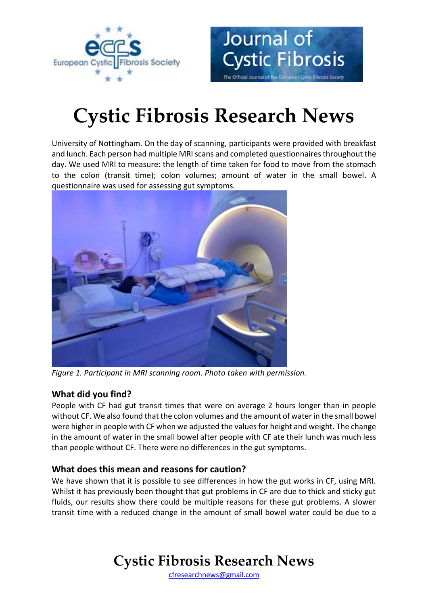



# **Cystic Fibrosis Research News**

University of Nottingham. On the day of scanning, participants were provided with breakfast and lunch. Each person had multiple MRI scans and completed questionnaires throughout the day. We used MRI to measure: the length of time taken for food to move from the stomach to the colon (transit time); colon volumes; amount of water in the small bowel. A questionnaire was used for assessing gut symptoms.



*Figure 1. Participant in MRI scanning room. Photo taken with permission.*

## **What did you find?**

People with CF had gut transit times that were on average 2 hours longer than in people without CF. We also found that the colon volumes and the amount of water in the small bowel were higher in people with CF when we adjusted the values for height and weight. The change in the amount of water in the small bowel after people with CF ate their lunch was much less than people without CF. There were no differences in the gut symptoms.

## **What does this mean and reasons for caution?**

We have shown that it is possible to see differences in how the gut works in CF, using MRI. Whilst it has previously been thought that gut problems in CF are due to thick and sticky gut fluids, our results show there could be multiple reasons for these gut problems. A slower transit time with a reduced change in the amount of small bowel water could be due to a

# **Cystic Fibrosis Research News**

[cfresearchnews@gmail.com](mailto:cfresearchnews@gmail.com)